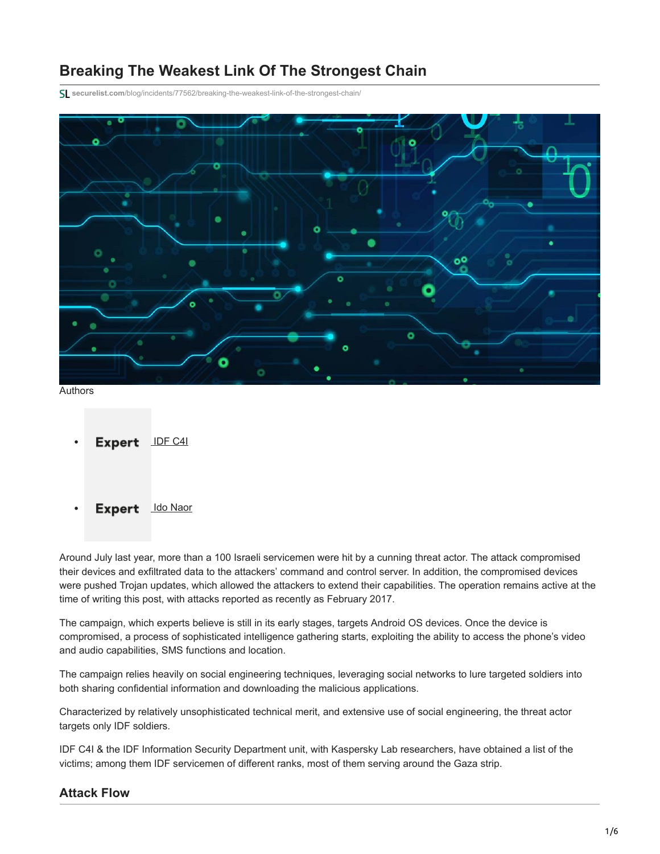# **Breaking The Weakest Link Of The Strongest Chain**

**securelist.com**[/blog/incidents/77562/breaking-the-weakest-link-of-the-strongest-chain/](https://securelist.com/blog/incidents/77562/breaking-the-weakest-link-of-the-strongest-chain/)



```
IDF C4I
```
Expert ldo Naor

Around July last year, more than a 100 Israeli servicemen were hit by a cunning threat actor. The attack compromised their devices and exfiltrated data to the attackers' command and control server. In addition, the compromised devices were pushed Trojan updates, which allowed the attackers to extend their capabilities. The operation remains active at the time of writing this post, with attacks reported as recently as February 2017.

The campaign, which experts believe is still in its early stages, targets Android OS devices. Once the device is compromised, a process of sophisticated intelligence gathering starts, exploiting the ability to access the phone's video and audio capabilities, SMS functions and location.

The campaign relies heavily on social engineering techniques, leveraging social networks to lure targeted soldiers into both sharing confidential information and downloading the malicious applications.

Characterized by relatively unsophisticated technical merit, and extensive use of social engineering, the threat actor targets only IDF soldiers.

IDF C4I & the IDF Information Security Department unit, with Kaspersky Lab researchers, have obtained a list of the victims; among them IDF servicemen of different ranks, most of them serving around the Gaza strip.

## **Attack Flow**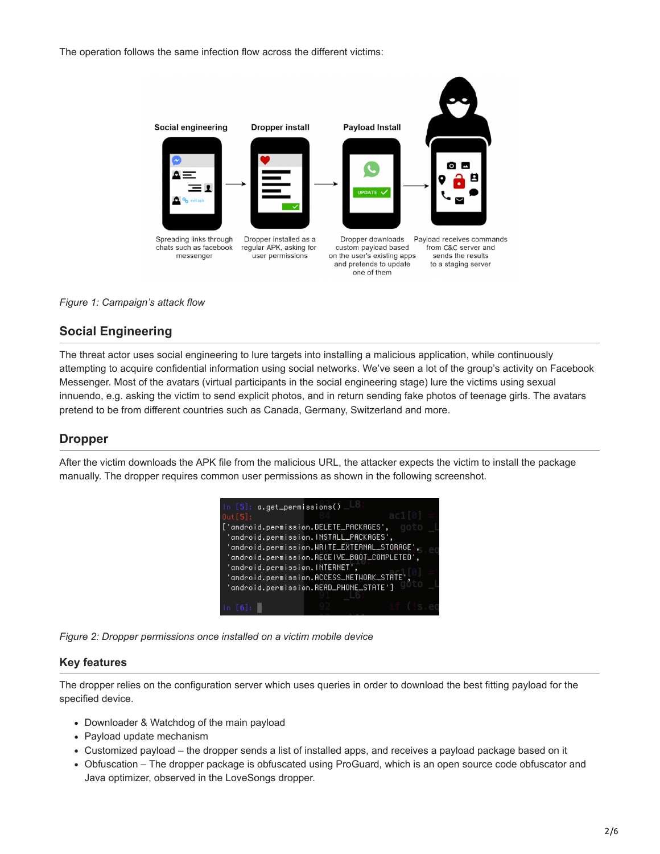The operation follows the same infection flow across the different victims:



#### *Figure 1: Campaign's attack flow*

# **Social Engineering**

The threat actor uses social engineering to lure targets into installing a malicious application, while continuously attempting to acquire confidential information using social networks. We've seen a lot of the group's activity on Facebook Messenger. Most of the avatars (virtual participants in the social engineering stage) lure the victims using sexual innuendo, e.g. asking the victim to send explicit photos, and in return sending fake photos of teenage girls. The avatars pretend to be from different countries such as Canada, Germany, Switzerland and more.

## **Dropper**

After the victim downloads the APK file from the malicious URL, the attacker expects the victim to install the package manually. The dropper requires common user permissions as shown in the following screenshot.



*Figure 2: Dropper permissions once installed on a victim mobile device*

#### **Key features**

The dropper relies on the configuration server which uses queries in order to download the best fitting payload for the specified device.

- Downloader & Watchdog of the main payload
- Payload update mechanism
- Customized payload the dropper sends a list of installed apps, and receives a payload package based on it
- Obfuscation The dropper package is obfuscated using ProGuard, which is an open source code obfuscator and Java optimizer, observed in the LoveSongs dropper.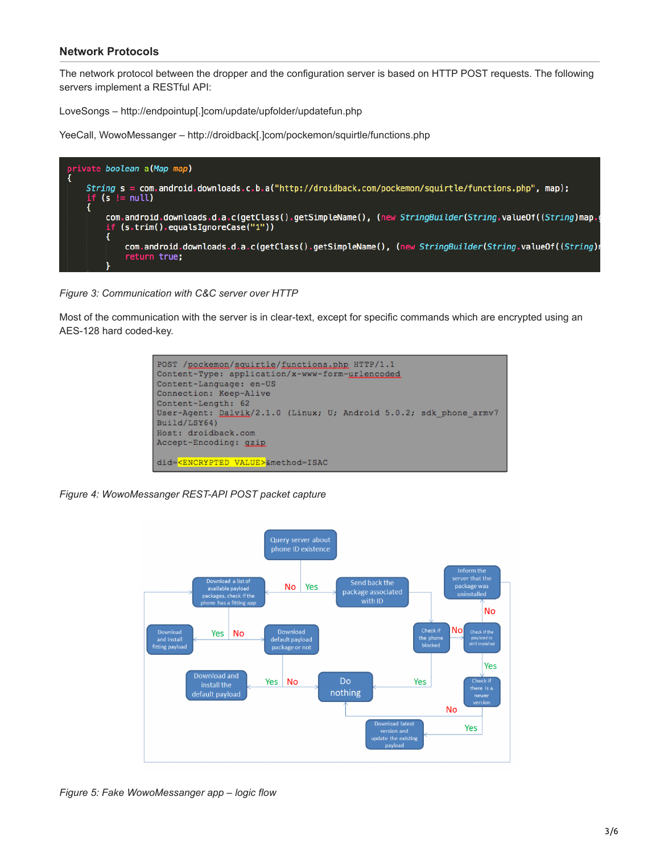#### **Network Protocols**

The network protocol between the dropper and the configuration server is based on HTTP POST requests. The following servers implement a RESTful API:

LoveSongs – http://endpointup[.]com/update/upfolder/updatefun.php

YeeCall, WowoMessanger – http://droidback[.]com/pockemon/squirtle/functions.php



*Figure 3: Communication with C&C server over HTTP*

Most of the communication with the server is in clear-text, except for specific commands which are encrypted using an AES-128 hard coded-key.



*Figure 4: WowoMessanger REST-API POST packet capture*



*Figure 5: Fake WowoMessanger app – logic flow*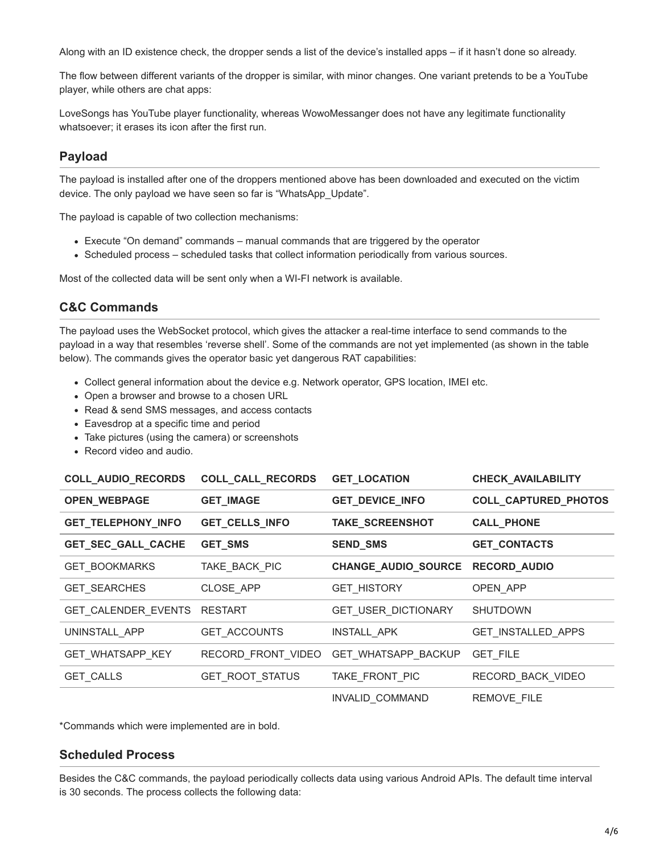Along with an ID existence check, the dropper sends a list of the device's installed apps – if it hasn't done so already.

The flow between different variants of the dropper is similar, with minor changes. One variant pretends to be a YouTube player, while others are chat apps:

LoveSongs has YouTube player functionality, whereas WowoMessanger does not have any legitimate functionality whatsoever; it erases its icon after the first run.

# **Payload**

The payload is installed after one of the droppers mentioned above has been downloaded and executed on the victim device. The only payload we have seen so far is "WhatsApp\_Update".

The payload is capable of two collection mechanisms:

- Execute "On demand" commands manual commands that are triggered by the operator
- Scheduled process scheduled tasks that collect information periodically from various sources.

Most of the collected data will be sent only when a WI-FI network is available.

## **C&C Commands**

The payload uses the WebSocket protocol, which gives the attacker a real-time interface to send commands to the payload in a way that resembles 'reverse shell'. Some of the commands are not yet implemented (as shown in the table below). The commands gives the operator basic yet dangerous RAT capabilities:

- Collect general information about the device e.g. Network operator, GPS location, IMEI etc.
- Open a browser and browse to a chosen URL
- Read & send SMS messages, and access contacts
- Eavesdrop at a specific time and period
- Take pictures (using the camera) or screenshots
- Record video and audio.

| COLL_AUDIO_RECORDS      | COLL_CALL_RECORDS   | <b>GET_LOCATION</b>        | CHECK_AVAILABILITY        |
|-------------------------|---------------------|----------------------------|---------------------------|
| <b>OPEN_WEBPAGE</b>     | <b>GET_IMAGE</b>    | <b>GET_DEVICE_INFO</b>     | COLL_CAPTURED_PHOTOS      |
| GET_TELEPHONY_INFO      | GET_CELLS_INFO      | TAKE_SCREENSHOT            | <b>CALL_PHONE</b>         |
| GET_SEC_GALL_CACHE      | GET_SMS             | <b>SEND_SMS</b>            | <b>GET_CONTACTS</b>       |
| <b>GET BOOKMARKS</b>    | TAKE_BACK_PIC       | CHANGE_AUDIO_SOURCE        | <b>RECORD_AUDIO</b>       |
| <b>GET SEARCHES</b>     | CLOSE APP           | <b>GET_HISTORY</b>         | OPEN APP                  |
| GET CALENDER EVENTS     | <b>RESTART</b>      | <b>GET USER DICTIONARY</b> | <b>SHUTDOWN</b>           |
| UNINSTALL APP           | <b>GET ACCOUNTS</b> | INSTALL APK                | <b>GET INSTALLED APPS</b> |
| <b>GET WHATSAPP KEY</b> | RECORD_FRONT_VIDEO  | <b>GET WHATSAPP BACKUP</b> | <b>GET FILE</b>           |
| <b>GET CALLS</b>        | GET_ROOT_STATUS     | TAKE_FRONT_PIC             | RECORD BACK VIDEO         |
|                         |                     | <b>INVALID COMMAND</b>     | <b>REMOVE FILE</b>        |

\*Commands which were implemented are in bold.

## **Scheduled Process**

Besides the C&C commands, the payload periodically collects data using various Android APIs. The default time interval is 30 seconds. The process collects the following data: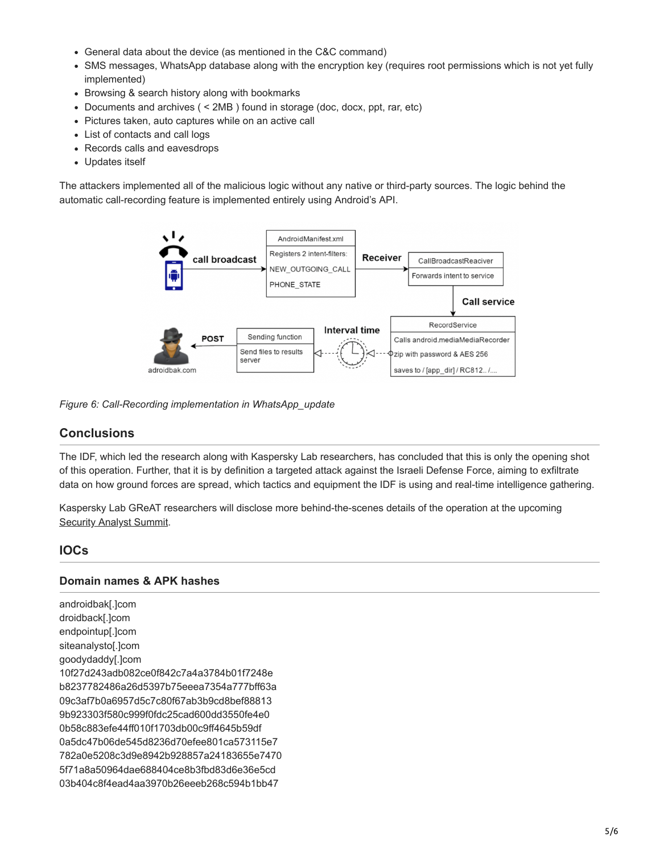- General data about the device (as mentioned in the C&C command)
- SMS messages, WhatsApp database along with the encryption key (requires root permissions which is not yet fully implemented)
- Browsing & search history along with bookmarks
- Documents and archives ( < 2MB ) found in storage (doc, docx, ppt, rar, etc)
- Pictures taken, auto captures while on an active call
- List of contacts and call logs
- Records calls and eavesdrops
- Updates itself

The attackers implemented all of the malicious logic without any native or third-party sources. The logic behind the automatic call-recording feature is implemented entirely using Android's API.



*Figure 6: Call-Recording implementation in WhatsApp\_update*

# **Conclusions**

The IDF, which led the research along with Kaspersky Lab researchers, has concluded that this is only the opening shot of this operation. Further, that it is by definition a targeted attack against the Israeli Defense Force, aiming to exfiltrate data on how ground forces are spread, which tactics and equipment the IDF is using and real-time intelligence gathering.

Kaspersky Lab GReAT researchers will disclose more behind-the-scenes details of the operation at the upcoming **[Security Analyst Summit.](https://sas.kaspersky.com/)** 

## **IOCs**

#### **Domain names & APK hashes**

androidbak[.]com droidback[.]com endpointup[.]com siteanalysto[.]com goodydaddy[.]com 10f27d243adb082ce0f842c7a4a3784b01f7248e b8237782486a26d5397b75eeea7354a777bff63a 09c3af7b0a6957d5c7c80f67ab3b9cd8bef88813 9b923303f580c999f0fdc25cad600dd3550fe4e0 0b58c883efe44ff010f1703db00c9ff4645b59df 0a5dc47b06de545d8236d70efee801ca573115e7 782a0e5208c3d9e8942b928857a24183655e7470 5f71a8a50964dae688404ce8b3fbd83d6e36e5cd 03b404c8f4ead4aa3970b26eeeb268c594b1bb47